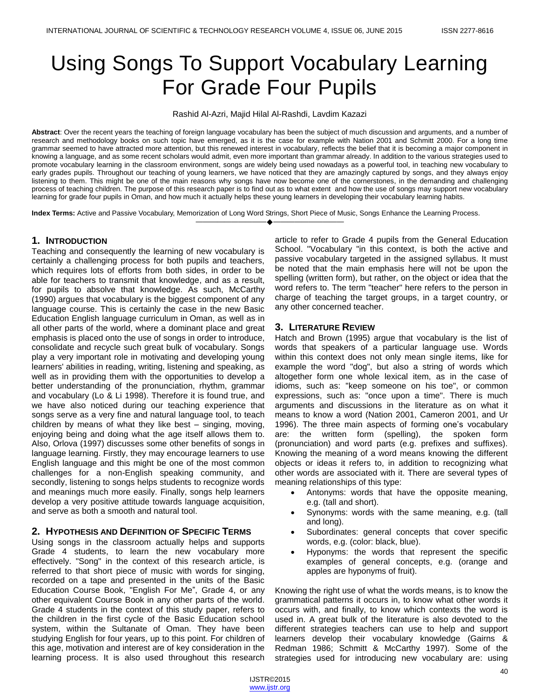# Using Songs To Support Vocabulary Learning For Grade Four Pupils

Rashid Al-Azri, Majid Hilal Al-Rashdi, Lavdim Kazazi

**Abstract**: Over the recent years the teaching of foreign language vocabulary has been the subject of much discussion and arguments, and a number of research and methodology books on such topic have emerged, as it is the case for example with Nation 2001 and Schmitt 2000. For a long time grammar seemed to have attracted more attention, but this renewed interest in vocabulary, reflects the belief that it is becoming a major component in knowing a language, and as some recent scholars would admit, even more important than grammar already. In addition to the various strategies used to promote vocabulary learning in the classroom environment, songs are widely being used nowadays as a powerful tool, in teaching new vocabulary to early grades pupils. Throughout our teaching of young learners, we have noticed that they are amazingly captured by songs, and they always enjoy listening to them. This might be one of the main reasons why songs have now become one of the cornerstones, in the demanding and challenging process of teaching children. The purpose of this research paper is to find out as to what extent and how the use of songs may support new vocabulary learning for grade four pupils in Oman, and how much it actually helps these young learners in developing their vocabulary learning habits.

————————————————————

**Index Terms:** Active and Passive Vocabulary, Memorization of Long Word Strings, Short Piece of Music, Songs Enhance the Learning Process.

## **1. INTRODUCTION**

Teaching and consequently the learning of new vocabulary is certainly a challenging process for both pupils and teachers, which requires lots of efforts from both sides, in order to be able for teachers to transmit that knowledge, and as a result, for pupils to absolve that knowledge. As such, McCarthy (1990) argues that vocabulary is the biggest component of any language course. This is certainly the case in the new Basic Education English language curriculum in Oman, as well as in all other parts of the world, where a dominant place and great emphasis is placed onto the use of songs in order to introduce, consolidate and recycle such great bulk of vocabulary. Songs play a very important role in motivating and developing young learners' abilities in reading, writing, listening and speaking, as well as in providing them with the opportunities to develop a better understanding of the pronunciation, rhythm, grammar and vocabulary (Lo & Li 1998). Therefore it is found true, and we have also noticed during our teaching experience that songs serve as a very fine and natural language tool, to teach children by means of what they like best – singing, moving, enjoying being and doing what the age itself allows them to. Also, Orlova (1997) discusses some other benefits of songs in language learning. Firstly, they may encourage learners to use English language and this might be one of the most common challenges for a non-English speaking community, and secondly, listening to songs helps students to recognize words and meanings much more easily. Finally, songs help learners develop a very positive attitude towards language acquisition, and serve as both a smooth and natural tool.

## **2. HYPOTHESIS AND DEFINITION OF SPECIFIC TERMS**

Using songs in the classroom actually helps and supports Grade 4 students, to learn the new vocabulary more effectively. "Song" in the context of this research article, is referred to that short piece of music with words for singing, recorded on a tape and presented in the units of the Basic Education Course Book, "English For Me", Grade 4, or any other equivalent Course Book in any other parts of the world. Grade 4 students in the context of this study paper, refers to the children in the first cycle of the Basic Education school system, within the Sultanate of Oman. They have been studying English for four years, up to this point. For children of this age, motivation and interest are of key consideration in the learning process. It is also used throughout this research

article to refer to Grade 4 pupils from the General Education School. "Vocabulary "in this context, is both the active and passive vocabulary targeted in the assigned syllabus. It must be noted that the main emphasis here will not be upon the spelling (written form), but rather, on the object or idea that the word refers to. The term "teacher" here refers to the person in charge of teaching the target groups, in a target country, or any other concerned teacher.

## **3. LITERATURE REVIEW**

Hatch and Brown (1995) argue that vocabulary is the list of words that speakers of a particular language use. Words within this context does not only mean single items, like for example the word "dog", but also a string of words which altogether form one whole lexical item, as in the case of idioms, such as: "keep someone on his toe", or common expressions, such as: "once upon a time". There is much arguments and discussions in the literature as on what it means to know a word (Nation 2001, Cameron 2001, and Ur 1996). The three main aspects of forming one's vocabulary are: the written form (spelling), the spoken form (pronunciation) and word parts (e.g. prefixes and suffixes). Knowing the meaning of a word means knowing the different objects or ideas it refers to, in addition to recognizing what other words are associated with it. There are several types of meaning relationships of this type:

- Antonyms: words that have the opposite meaning, e.g. (tall and short).
- Synonyms: words with the same meaning, e.g. (tall and long).
- Subordinates: general concepts that cover specific words, e.g. (color: black, blue).
- Hyponyms: the words that represent the specific examples of general concepts, e.g. (orange and apples are hyponyms of fruit).

Knowing the right use of what the words means, is to know the grammatical patterns it occurs in, to know what other words it occurs with, and finally, to know which contexts the word is used in. A great bulk of the literature is also devoted to the different strategies teachers can use to help and support learners develop their vocabulary knowledge (Gairns & Redman 1986; Schmitt & McCarthy 1997). Some of the strategies used for introducing new vocabulary are: using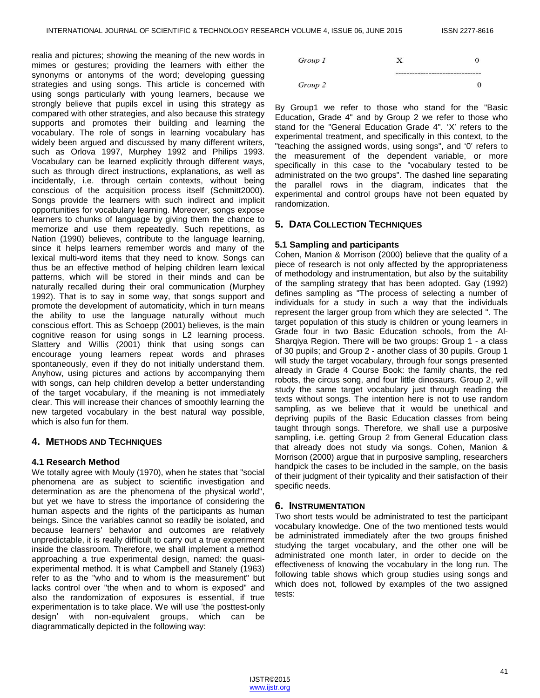realia and pictures; showing the meaning of the new words in mimes or gestures; providing the learners with either the synonyms or antonyms of the word; developing guessing strategies and using songs. This article is concerned with using songs particularly with young learners, because we strongly believe that pupils excel in using this strategy as compared with other strategies, and also because this strategy supports and promotes their building and learning the vocabulary. The role of songs in learning vocabulary has widely been argued and discussed by many different writers, such as Orlova 1997, Murphey 1992 and Philips 1993. Vocabulary can be learned explicitly through different ways, such as through direct instructions, explanations, as well as incidentally, i.e. through certain contexts, without being conscious of the acquisition process itself (Schmitt2000). Songs provide the learners with such indirect and implicit opportunities for vocabulary learning. Moreover, songs expose learners to chunks of language by giving them the chance to memorize and use them repeatedly. Such repetitions, as Nation (1990) believes, contribute to the language learning, since it helps learners remember words and many of the lexical multi-word items that they need to know. Songs can thus be an effective method of helping children learn lexical patterns, which will be stored in their minds and can be naturally recalled during their oral communication (Murphey 1992). That is to say in some way, that songs support and promote the development of automaticity, which in turn means the ability to use the language naturally without much conscious effort. This as Schoepp (2001) believes, is the main cognitive reason for using songs in L2 learning process. Slattery and Willis (2001) think that using songs can encourage young learners repeat words and phrases spontaneously, even if they do not initially understand them. Anyhow, using pictures and actions by accompanying them with songs, can help children develop a better understanding of the target vocabulary, if the meaning is not immediately clear. This will increase their chances of smoothly learning the new targeted vocabulary in the best natural way possible, which is also fun for them.

## **4. METHODS AND TECHNIQUES**

## **4.1 Research Method**

We totally agree with Mouly (1970), when he states that "social phenomena are as subject to scientific investigation and determination as are the phenomena of the physical world", but yet we have to stress the importance of considering the human aspects and the rights of the participants as human beings. Since the variables cannot so readily be isolated, and because learners' behavior and outcomes are relatively unpredictable, it is really difficult to carry out a true experiment inside the classroom. Therefore, we shall implement a method approaching a true experimental design, named: the quasiexperimental method. It is what Campbell and Stanely (1963) refer to as the "who and to whom is the measurement" but lacks control over "the when and to whom is exposed" and also the randomization of exposures is essential, if true experimentation is to take place. We will use 'the posttest-only design' with non-equivalent groups, which can be diagrammatically depicted in the following way:



By Group1 we refer to those who stand for the "Basic Education, Grade 4" and by Group 2 we refer to those who stand for the "General Education Grade 4". 'X' refers to the experimental treatment, and specifically in this context, to the "teaching the assigned words, using songs", and '0' refers to the measurement of the dependent variable, or more specifically in this case to the "vocabulary tested to be administrated on the two groups". The dashed line separating the parallel rows in the diagram, indicates that the experimental and control groups have not been equated by randomization.

## **5. DATA COLLECTION TECHNIQUES**

## **5.1 Sampling and participants**

Cohen, Manion & Morrison (2000) believe that the quality of a piece of research is not only affected by the appropriateness of methodology and instrumentation, but also by the suitability of the sampling strategy that has been adopted. Gay (1992) defines sampling as "The process of selecting a number of individuals for a study in such a way that the individuals represent the larger group from which they are selected ". The target population of this study is children or young learners in Grade four in two Basic Education schools, from the Al-Sharqiya Region. There will be two groups: Group 1 - a class of 30 pupils; and Group 2 - another class of 30 pupils. Group 1 will study the target vocabulary, through four songs presented already in Grade 4 Course Book: the family chants, the red robots, the circus song, and four little dinosaurs. Group 2, will study the same target vocabulary just through reading the texts without songs. The intention here is not to use random sampling, as we believe that it would be unethical and depriving pupils of the Basic Education classes from being taught through songs. Therefore, we shall use a purposive sampling, i.e. getting Group 2 from General Education class that already does not study via songs. Cohen, Manion & Morrison (2000) argue that in purposive sampling, researchers handpick the cases to be included in the sample, on the basis of their judgment of their typicality and their satisfaction of their specific needs.

## **6. INSTRUMENTATION**

Two short tests would be administrated to test the participant vocabulary knowledge. One of the two mentioned tests would be administrated immediately after the two groups finished studying the target vocabulary, and the other one will be administrated one month later, in order to decide on the effectiveness of knowing the vocabulary in the long run. The following table shows which group studies using songs and which does not, followed by examples of the two assigned tests:

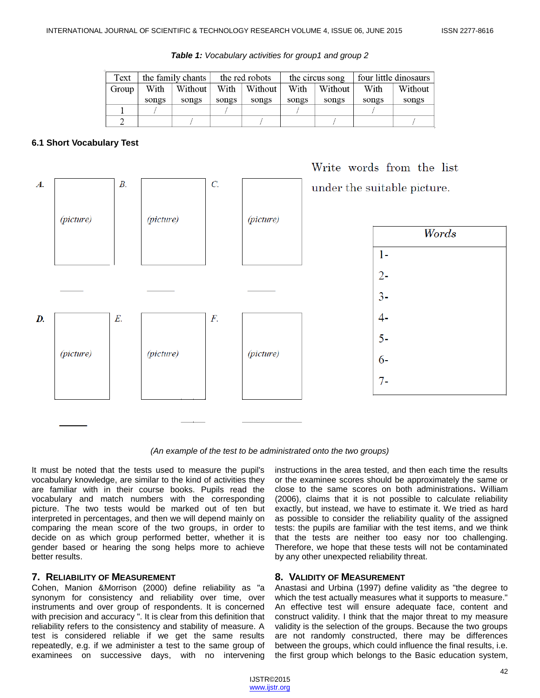| Text  | the family chants |         | the red robots |         | the circus song |         | four little dinosaurs |         |
|-------|-------------------|---------|----------------|---------|-----------------|---------|-----------------------|---------|
| Group | With              | Without | With           | Without | With            | Without | With                  | Without |
|       | songs             | songs   | songs          | songs   | songs           | songs   | songs                 | songs   |
|       |                   |         |                |         |                 |         |                       |         |
|       |                   |         |                |         |                 |         |                       |         |

*Table 1: Vocabulary activities for group1 and group 2*

## **6.1 Short Vocabulary Test**



*(An example of the test to be administrated onto the two groups)*

It must be noted that the tests used to measure the pupil's vocabulary knowledge, are similar to the kind of activities they are familiar with in their course books. Pupils read the vocabulary and match numbers with the corresponding picture. The two tests would be marked out of ten but interpreted in percentages, and then we will depend mainly on comparing the mean score of the two groups, in order to decide on as which group performed better, whether it is gender based or hearing the song helps more to achieve better results.

## **7. RELIABILITY OF MEASUREMENT**

Cohen, Manion &Morrison (2000) define reliability as "a synonym for consistency and reliability over time, over instruments and over group of respondents. It is concerned with precision and accuracy ". It is clear from this definition that reliability refers to the consistency and stability of measure. A test is considered reliable if we get the same results repeatedly, e.g. if we administer a test to the same group of examinees on successive days, with no intervening

instructions in the area tested, and then each time the results or the examinee scores should be approximately the same or close to the same scores on both administrations**.** William (2006), claims that it is not possible to calculate reliability exactly, but instead, we have to estimate it. We tried as hard as possible to consider the reliability quality of the assigned tests: the pupils are familiar with the test items, and we think that the tests are neither too easy nor too challenging. Therefore, we hope that these tests will not be contaminated by any other unexpected reliability threat.

## **8. VALIDITY OF MEASUREMENT**

Anastasi and Urbina (1997) define validity as "the degree to which the test actually measures what it supports to measure." An effective test will ensure adequate face, content and construct validity. I think that the major threat to my measure validity is the selection of the groups. Because the two groups are not randomly constructed, there may be differences between the groups, which could influence the final results, i.e. the first group which belongs to the Basic education system,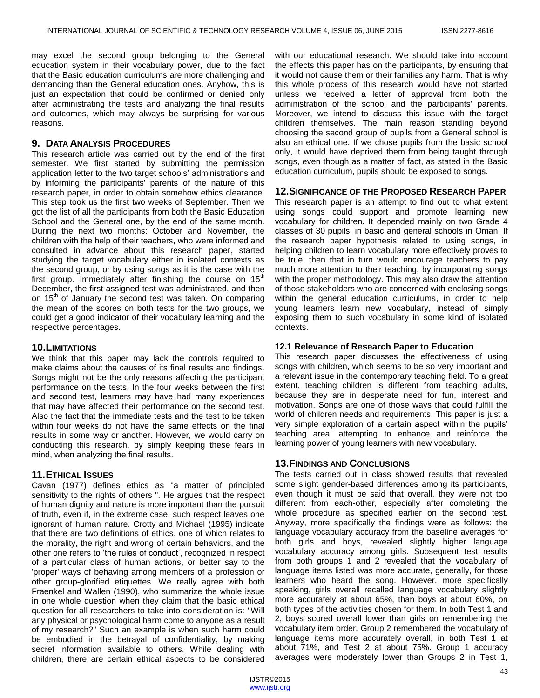may excel the second group belonging to the General education system in their vocabulary power, due to the fact that the Basic education curriculums are more challenging and demanding than the General education ones. Anyhow, this is just an expectation that could be confirmed or denied only after administrating the tests and analyzing the final results and outcomes, which may always be surprising for various reasons.

#### **9. DATA ANALYSIS PROCEDURES**

This research article was carried out by the end of the first semester. We first started by submitting the permission application letter to the two target schools' administrations and by informing the participants' parents of the nature of this research paper, in order to obtain somehow ethics clearance. This step took us the first two weeks of September. Then we got the list of all the participants from both the Basic Education School and the General one, by the end of the same month. During the next two months: October and November, the children with the help of their teachers, who were informed and consulted in advance about this research paper, started studying the target vocabulary either in isolated contexts as the second group, or by using songs as it is the case with the first group. Immediately after finishing the course on  $15<sup>th</sup>$ December, the first assigned test was administrated, and then on 15<sup>th</sup> of January the second test was taken. On comparing the mean of the scores on both tests for the two groups, we could get a good indicator of their vocabulary learning and the respective percentages.

#### **10.LIMITATIONS**

We think that this paper may lack the controls required to make claims about the causes of its final results and findings. Songs might not be the only reasons affecting the participant performance on the tests. In the four weeks between the first and second test, learners may have had many experiences that may have affected their performance on the second test. Also the fact that the immediate tests and the test to be taken within four weeks do not have the same effects on the final results in some way or another. However, we would carry on conducting this research, by simply keeping these fears in mind, when analyzing the final results.

#### **11.ETHICAL ISSUES**

Cavan (1977) defines ethics as "a matter of principled sensitivity to the rights of others ". He argues that the respect of human dignity and nature is more important than the pursuit of truth, even if, in the extreme case, such respect leaves one ignorant of human nature. Crotty and Michael (1995) indicate that there are two definitions of ethics, one of which relates to the morality, the right and wrong of certain behaviors, and the other one refers to 'the rules of conduct', recognized in respect of a particular class of human actions, or better say to the 'proper' ways of behaving among members of a profession or other group-glorified etiquettes. We really agree with both Fraenkel and Wallen (1990), who summarize the whole issue in one whole question when they claim that the basic ethical question for all researchers to take into consideration is: "Will any physical or psychological harm come to anyone as a result of my research?" Such an example is when such harm could be embodied in the betrayal of confidentiality, by making secret information available to others. While dealing with children, there are certain ethical aspects to be considered with our educational research. We should take into account the effects this paper has on the participants, by ensuring that it would not cause them or their families any harm. That is why this whole process of this research would have not started unless we received a letter of approval from both the administration of the school and the participants' parents. Moreover, we intend to discuss this issue with the target children themselves. The main reason standing beyond choosing the second group of pupils from a General school is also an ethical one. If we chose pupils from the basic school only, it would have deprived them from being taught through songs, even though as a matter of fact, as stated in the Basic education curriculum, pupils should be exposed to songs.

#### **12.SIGNIFICANCE OF THE PROPOSED RESEARCH PAPER**

This research paper is an attempt to find out to what extent using songs could support and promote learning new vocabulary for children. It depended mainly on two Grade 4 classes of 30 pupils, in basic and general schools in Oman. If the research paper hypothesis related to using songs, in helping children to learn vocabulary more effectively proves to be true, then that in turn would encourage teachers to pay much more attention to their teaching, by incorporating songs with the proper methodology. This may also draw the attention of those stakeholders who are concerned with enclosing songs within the general education curriculums, in order to help young learners learn new vocabulary, instead of simply exposing them to such vocabulary in some kind of isolated contexts.

#### **12.1 Relevance of Research Paper to Education**

This research paper discusses the effectiveness of using songs with children, which seems to be so very important and a relevant issue in the contemporary teaching field. To a great extent, teaching children is different from teaching adults, because they are in desperate need for fun, interest and motivation. Songs are one of those ways that could fulfill the world of children needs and requirements. This paper is just a very simple exploration of a certain aspect within the pupils' teaching area, attempting to enhance and reinforce the learning power of young learners with new vocabulary.

#### **13.FINDINGS AND CONCLUSIONS**

The tests carried out in class showed results that revealed some slight gender-based differences among its participants, even though it must be said that overall, they were not too different from each-other, especially after completing the whole procedure as specified earlier on the second test. Anyway, more specifically the findings were as follows: the language vocabulary accuracy from the baseline averages for both girls and boys, revealed slightly higher language vocabulary accuracy among girls. Subsequent test results from both groups 1 and 2 revealed that the vocabulary of language items listed was more accurate, generally, for those learners who heard the song. However, more specifically speaking, girls overall recalled language vocabulary slightly more accurately at about 65%, than boys at about 60%, on both types of the activities chosen for them. In both Test 1 and 2, boys scored overall lower than girls on remembering the vocabulary item order. Group 2 remembered the vocabulary of language items more accurately overall, in both Test 1 at about 71%, and Test 2 at about 75%. Group 1 accuracy averages were moderately lower than Groups 2 in Test 1,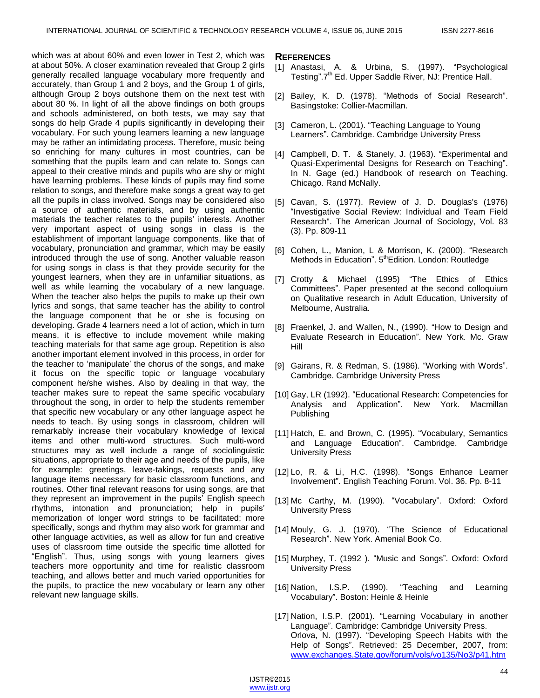which was at about 60% and even lower in Test 2, which was at about 50%. A closer examination revealed that Group 2 girls generally recalled language vocabulary more frequently and accurately, than Group 1 and 2 boys, and the Group 1 of girls, although Group 2 boys outshone them on the next test with about 80 %. In light of all the above findings on both groups and schools administered, on both tests, we may say that songs do help Grade 4 pupils significantly in developing their vocabulary. For such young learners learning a new language may be rather an intimidating process. Therefore, music being so enriching for many cultures in most countries, can be something that the pupils learn and can relate to. Songs can appeal to their creative minds and pupils who are shy or might have learning problems. These kinds of pupils may find some relation to songs, and therefore make songs a great way to get all the pupils in class involved. Songs may be considered also a source of authentic materials, and by using authentic materials the teacher relates to the pupils' interests. Another very important aspect of using songs in class is the establishment of important language components, like that of vocabulary, pronunciation and grammar, which may be easily introduced through the use of song. Another valuable reason for using songs in class is that they provide security for the youngest learners, when they are in unfamiliar situations, as well as while learning the vocabulary of a new language. When the teacher also helps the pupils to make up their own lyrics and songs, that same teacher has the ability to control the language component that he or she is focusing on developing. Grade 4 learners need a lot of action, which in turn means, it is effective to include movement while making teaching materials for that same age group. Repetition is also another important element involved in this process, in order for the teacher to 'manipulate' the chorus of the songs, and make it focus on the specific topic or language vocabulary component he/she wishes. Also by dealing in that way, the teacher makes sure to repeat the same specific vocabulary throughout the song, in order to help the students remember that specific new vocabulary or any other language aspect he needs to teach. By using songs in classroom, children will remarkably increase their vocabulary knowledge of lexical items and other multi-word structures. Such multi-word structures may as well include a range of sociolinguistic situations, appropriate to their age and needs of the pupils, like for example: greetings, leave-takings, requests and any language items necessary for basic classroom functions, and routines. Other final relevant reasons for using songs, are that they represent an improvement in the pupils' English speech rhythms, intonation and pronunciation; help in pupils' memorization of longer word strings to be facilitated; more specifically, songs and rhythm may also work for grammar and other language activities, as well as allow for fun and creative uses of classroom time outside the specific time allotted for "English". Thus, using songs with young learners gives teachers more opportunity and time for realistic classroom teaching, and allows better and much varied opportunities for the pupils, to practice the new vocabulary or learn any other relevant new language skills.

#### **REFERENCES**

- [1] Anastasi, A. & Urbina, S. (1997). "Psychological Testing".7<sup>th</sup> Ed. Upper Saddle River, NJ: Prentice Hall.
- [2] Bailey, K. D. (1978). "Methods of Social Research". Basingstoke: Collier-Macmillan.
- [3] Cameron, L. (2001). "Teaching Language to Young Learners". Cambridge. Cambridge University Press
- [4] Campbell, D. T. & Stanely, J. (1963). "Experimental and Quasi-Experimental Designs for Research on Teaching". In N. Gage (ed.) Handbook of research on Teaching. Chicago. Rand McNally.
- [5] Cavan, S. (1977). Review of J. D. Douglas's (1976) "Investigative Social Review: Individual and Team Field Research". The American Journal of Sociology, Vol. 83 (3). Pp. 809-11
- [6] Cohen, L., Manion, L & Morrison, K. (2000). "Research Methods in Education". 5<sup>th</sup>Edition. London: Routledge
- [7] Crotty & Michael (1995) "The Ethics of Ethics Committees‖. Paper presented at the second colloquium on Qualitative research in Adult Education, University of Melbourne, Australia.
- [8] Fraenkel, J. and Wallen, N., (1990). "How to Design and Evaluate Research in Education". New York. Mc. Graw Hill
- [9] Gairans, R. & Redman, S. (1986). "Working with Words". Cambridge. Cambridge University Press
- [10] Gay, LR (1992). "Educational Research: Competencies for Analysis and Application". New York. Macmillan Publishing
- [11] Hatch, E. and Brown, C. (1995). "Vocabulary, Semantics and Language Education". Cambridge. Cambridge University Press
- [12] Lo, R. & Li, H.C. (1998). "Songs Enhance Learner Involvement‖. English Teaching Forum. Vol. 36. Pp. 8-11
- [13] Mc Carthy, M. (1990). "Vocabulary". Oxford: Oxford University Press
- [14] Mouly, G. J. (1970). "The Science of Educational Research". New York. Amenial Book Co.
- [15] Murphey, T. (1992). "Music and Songs". Oxford: Oxford University Press
- [16] Nation, I.S.P. (1990). "Teaching and Learning Vocabulary". Boston: Heinle & Heinle
- [17] Nation, I.S.P. (2001). "Learning Vocabulary in another Language". Cambridge: Cambridge University Press. Orlova, N. (1997). "Developing Speech Habits with the Help of Songs". Retrieved: 25 December, 2007, from: [www.exchanges.State,gov/forum/vols/vo135/No3/p41.htm](http://www.exchanges.state,gov/forum/vols/vo135/No3/p41.htm)